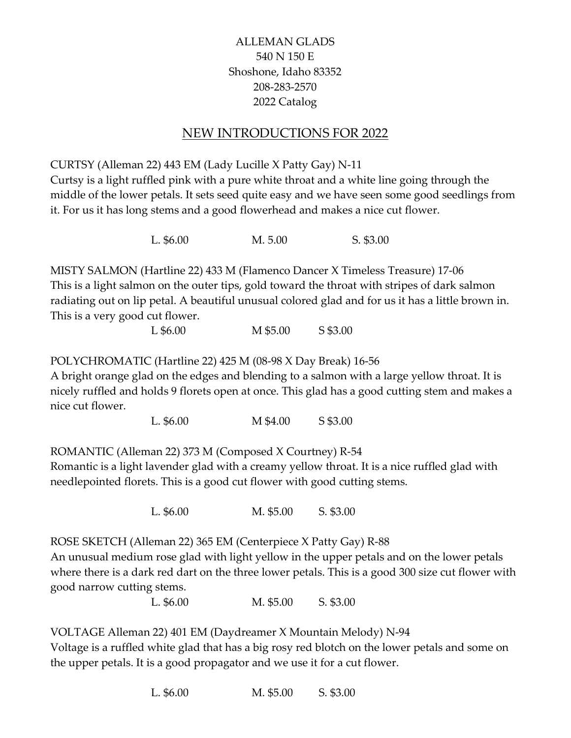## ALLEMAN GLADS 540 N 150 E Shoshone, Idaho 83352 208-283-2570 2022 Catalog

## NEW INTRODUCTIONS FOR 2022

CURTSY (Alleman 22) 443 EM (Lady Lucille X Patty Gay) N-11

Curtsy is a light ruffled pink with a pure white throat and a white line going through the middle of the lower petals. It sets seed quite easy and we have seen some good seedlings from it. For us it has long stems and a good flowerhead and makes a nice cut flower.

L. \$6.00 M. 5.00 S. \$3.00

MISTY SALMON (Hartline 22) 433 M (Flamenco Dancer X Timeless Treasure) 17-06 This is a light salmon on the outer tips, gold toward the throat with stripes of dark salmon radiating out on lip petal. A beautiful unusual colored glad and for us it has a little brown in. This is a very good cut flower.

L \$6.00 M \$5.00 S \$3.00

POLYCHROMATIC (Hartline 22) 425 M (08-98 X Day Break) 16-56

A bright orange glad on the edges and blending to a salmon with a large yellow throat. It is nicely ruffled and holds 9 florets open at once. This glad has a good cutting stem and makes a nice cut flower.

L. \$6.00 M \$4.00 S \$3.00

ROMANTIC (Alleman 22) 373 M (Composed X Courtney) R-54

Romantic is a light lavender glad with a creamy yellow throat. It is a nice ruffled glad with needlepointed florets. This is a good cut flower with good cutting stems.

L. \$6.00 M. \$5.00 S. \$3.00

ROSE SKETCH (Alleman 22) 365 EM (Centerpiece X Patty Gay) R-88

An unusual medium rose glad with light yellow in the upper petals and on the lower petals where there is a dark red dart on the three lower petals. This is a good 300 size cut flower with good narrow cutting stems.

L. \$6.00 M. \$5.00 S. \$3.00

VOLTAGE Alleman 22) 401 EM (Daydreamer X Mountain Melody) N-94

Voltage is a ruffled white glad that has a big rosy red blotch on the lower petals and some on the upper petals. It is a good propagator and we use it for a cut flower.

L. \$6.00 M. \$5.00 S. \$3.00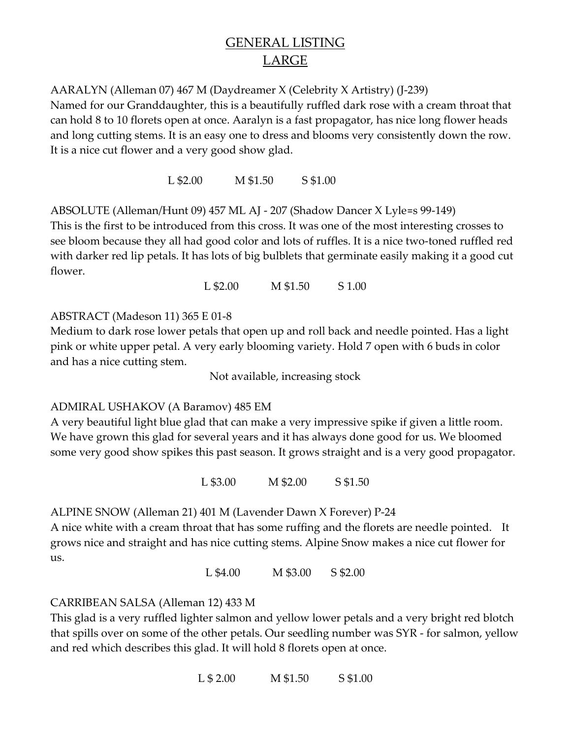# GENERAL LISTING LARGE

AARALYN (Alleman 07) 467 M (Daydreamer X (Celebrity X Artistry) (J-239)

Named for our Granddaughter, this is a beautifully ruffled dark rose with a cream throat that can hold 8 to 10 florets open at once. Aaralyn is a fast propagator, has nice long flower heads and long cutting stems. It is an easy one to dress and blooms very consistently down the row. It is a nice cut flower and a very good show glad.

L \$2.00 M \$1.50 S \$1.00

ABSOLUTE (Alleman/Hunt 09) 457 ML AJ - 207 (Shadow Dancer X Lyle=s 99-149) This is the first to be introduced from this cross. It was one of the most interesting crosses to see bloom because they all had good color and lots of ruffles. It is a nice two-toned ruffled red with darker red lip petals. It has lots of big bulblets that germinate easily making it a good cut flower.

L \$2.00 M \$1.50 S 1.00

ABSTRACT (Madeson 11) 365 E 01-8

Medium to dark rose lower petals that open up and roll back and needle pointed. Has a light pink or white upper petal. A very early blooming variety. Hold 7 open with 6 buds in color and has a nice cutting stem.

Not available, increasing stock

### ADMIRAL USHAKOV (A Baramov) 485 EM

A very beautiful light blue glad that can make a very impressive spike if given a little room. We have grown this glad for several years and it has always done good for us. We bloomed some very good show spikes this past season. It grows straight and is a very good propagator.

L \$3.00 M \$2.00 S \$1.50

ALPINE SNOW (Alleman 21) 401 M (Lavender Dawn X Forever) P-24

A nice white with a cream throat that has some ruffing and the florets are needle pointed. It grows nice and straight and has nice cutting stems. Alpine Snow makes a nice cut flower for us.

L \$4.00 M \$3.00 S \$2.00

### CARRIBEAN SALSA (Alleman 12) 433 M

This glad is a very ruffled lighter salmon and yellow lower petals and a very bright red blotch that spills over on some of the other petals. Our seedling number was SYR - for salmon, yellow and red which describes this glad. It will hold 8 florets open at once.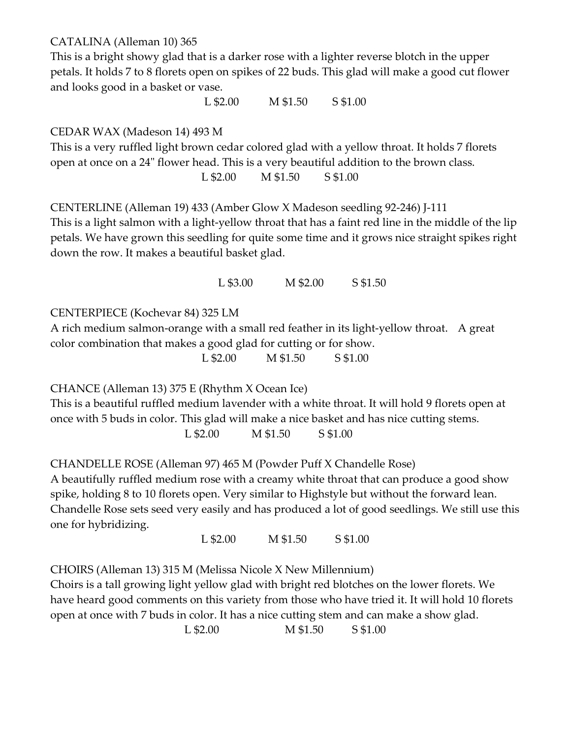CATALINA (Alleman 10) 365

This is a bright showy glad that is a darker rose with a lighter reverse blotch in the upper petals. It holds 7 to 8 florets open on spikes of 22 buds. This glad will make a good cut flower and looks good in a basket or vase.

L \$2.00 M \$1.50 S \$1.00

CEDAR WAX (Madeson 14) 493 M

This is a very ruffled light brown cedar colored glad with a yellow throat. It holds 7 florets open at once on a 24" flower head. This is a very beautiful addition to the brown class.

L \$2.00 M \$1.50 S \$1.00

CENTERLINE (Alleman 19) 433 (Amber Glow X Madeson seedling 92-246) J-111

This is a light salmon with a light-yellow throat that has a faint red line in the middle of the lip petals. We have grown this seedling for quite some time and it grows nice straight spikes right down the row. It makes a beautiful basket glad.

L \$3.00 M \$2.00 S \$1.50

CENTERPIECE (Kochevar 84) 325 LM

A rich medium salmon-orange with a small red feather in its light-yellow throat. A great color combination that makes a good glad for cutting or for show.

L \$2.00 M \$1.50 S \$1.00

CHANCE (Alleman 13) 375 E (Rhythm X Ocean Ice)

This is a beautiful ruffled medium lavender with a white throat. It will hold 9 florets open at once with 5 buds in color. This glad will make a nice basket and has nice cutting stems.

L \$2.00 M \$1.50 S \$1.00

CHANDELLE ROSE (Alleman 97) 465 M (Powder Puff X Chandelle Rose)

A beautifully ruffled medium rose with a creamy white throat that can produce a good show spike, holding 8 to 10 florets open. Very similar to Highstyle but without the forward lean. Chandelle Rose sets seed very easily and has produced a lot of good seedlings. We still use this one for hybridizing.

L \$2.00 M \$1.50 S \$1.00

CHOIRS (Alleman 13) 315 M (Melissa Nicole X New Millennium)

Choirs is a tall growing light yellow glad with bright red blotches on the lower florets. We have heard good comments on this variety from those who have tried it. It will hold 10 florets open at once with 7 buds in color. It has a nice cutting stem and can make a show glad.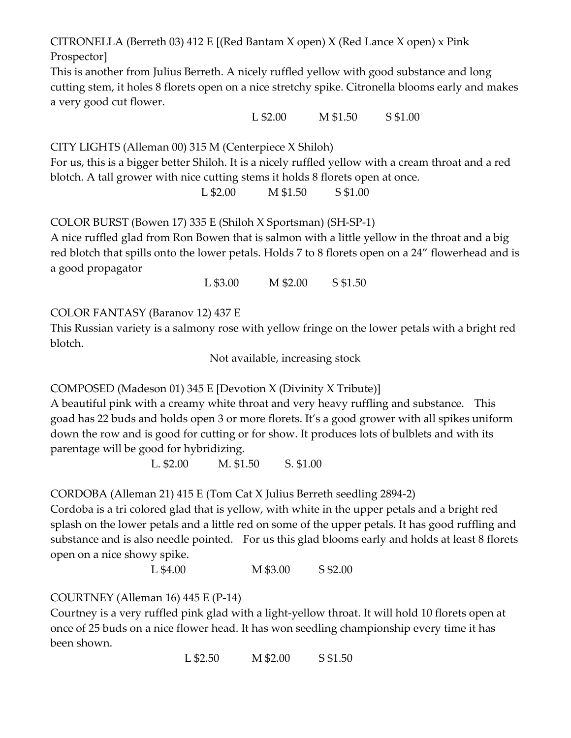CITRONELLA (Berreth 03) 412 E [(Red Bantam X open) X (Red Lance X open) x Pink Prospector]

This is another from Julius Berreth. A nicely ruffled yellow with good substance and long cutting stem, it holes 8 florets open on a nice stretchy spike. Citronella blooms early and makes a very good cut flower.

L \$2.00 M \$1.50 S \$1.00

CITY LIGHTS (Alleman 00) 315 M (Centerpiece X Shiloh)

For us, this is a bigger better Shiloh. It is a nicely ruffled yellow with a cream throat and a red blotch. A tall grower with nice cutting stems it holds 8 florets open at once.

L \$2.00 M \$1.50 S \$1.00

COLOR BURST (Bowen 17) 335 E (Shiloh X Sportsman) (SH-SP-1)

A nice ruffled glad from Ron Bowen that is salmon with a little yellow in the throat and a big red blotch that spills onto the lower petals. Holds 7 to 8 florets open on a 24" flowerhead and is a good propagator

L \$3.00 M \$2.00 S \$1.50

COLOR FANTASY (Baranov 12) 437 E

This Russian variety is a salmony rose with yellow fringe on the lower petals with a bright red blotch.

Not available, increasing stock

COMPOSED (Madeson 01) 345 E [Devotion X (Divinity X Tribute)]

A beautiful pink with a creamy white throat and very heavy ruffling and substance. This goad has 22 buds and holds open 3 or more florets. It's a good grower with all spikes uniform down the row and is good for cutting or for show. It produces lots of bulblets and with its parentage will be good for hybridizing.

L. \$2.00 M. \$1.50 S. \$1.00

CORDOBA (Alleman 21) 415 E (Tom Cat X Julius Berreth seedling 2894-2)

Cordoba is a tri colored glad that is yellow, with white in the upper petals and a bright red splash on the lower petals and a little red on some of the upper petals. It has good ruffling and substance and is also needle pointed. For us this glad blooms early and holds at least 8 florets open on a nice showy spike.

L \$4.00 M \$3.00 S \$2.00

### COURTNEY (Alleman 16) 445 E (P-14)

Courtney is a very ruffled pink glad with a light-yellow throat. It will hold 10 florets open at once of 25 buds on a nice flower head. It has won seedling championship every time it has been shown.

L \$2.50 M \$2.00 S \$1.50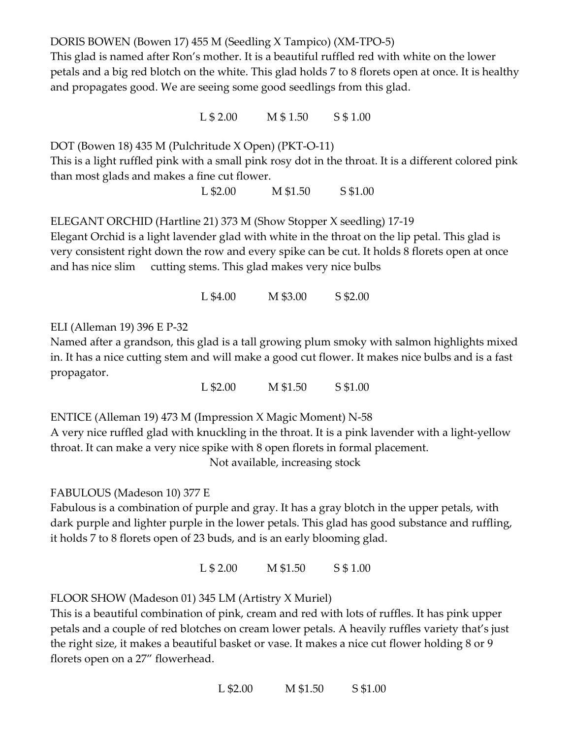DORIS BOWEN (Bowen 17) 455 M (Seedling X Tampico) (XM-TPO-5) This glad is named after Ron's mother. It is a beautiful ruffled red with white on the lower petals and a big red blotch on the white. This glad holds 7 to 8 florets open at once. It is healthy and propagates good. We are seeing some good seedlings from this glad.

L \$ 2.00 M \$ 1.50 S \$ 1.00

DOT (Bowen 18) 435 M (Pulchritude X Open) (PKT-O-11) This is a light ruffled pink with a small pink rosy dot in the throat. It is a different colored pink than most glads and makes a fine cut flower.

L \$2.00 M \$1.50 S \$1.00

ELEGANT ORCHID (Hartline 21) 373 M (Show Stopper X seedling) 17-19 Elegant Orchid is a light lavender glad with white in the throat on the lip petal. This glad is very consistent right down the row and every spike can be cut. It holds 8 florets open at once and has nice slim cutting stems. This glad makes very nice bulbs

L \$4.00 M \$3.00 S \$2.00

ELI (Alleman 19) 396 E P-32

Named after a grandson, this glad is a tall growing plum smoky with salmon highlights mixed in. It has a nice cutting stem and will make a good cut flower. It makes nice bulbs and is a fast propagator.

L \$2.00 M \$1.50 S \$1.00

ENTICE (Alleman 19) 473 M (Impression X Magic Moment) N-58 A very nice ruffled glad with knuckling in the throat. It is a pink lavender with a light-yellow throat. It can make a very nice spike with 8 open florets in formal placement. Not available, increasing stock

FABULOUS (Madeson 10) 377 E

Fabulous is a combination of purple and gray. It has a gray blotch in the upper petals, with dark purple and lighter purple in the lower petals. This glad has good substance and ruffling, it holds 7 to 8 florets open of 23 buds, and is an early blooming glad.

L \$ 2.00 M \$1.50 S \$ 1.00

FLOOR SHOW (Madeson 01) 345 LM (Artistry X Muriel)

This is a beautiful combination of pink, cream and red with lots of ruffles. It has pink upper petals and a couple of red blotches on cream lower petals. A heavily ruffles variety that's just the right size, it makes a beautiful basket or vase. It makes a nice cut flower holding 8 or 9 florets open on a 27" flowerhead.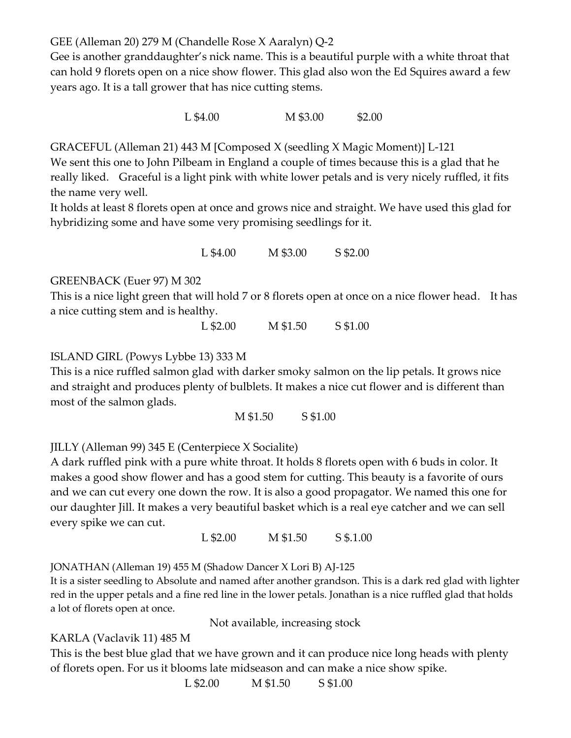GEE (Alleman 20) 279 M (Chandelle Rose X Aaralyn) Q-2

Gee is another granddaughter's nick name. This is a beautiful purple with a white throat that can hold 9 florets open on a nice show flower. This glad also won the Ed Squires award a few years ago. It is a tall grower that has nice cutting stems.

L \$4.00 M \$3.00 \$2.00

GRACEFUL (Alleman 21) 443 M [Composed X (seedling X Magic Moment)] L-121

We sent this one to John Pilbeam in England a couple of times because this is a glad that he really liked. Graceful is a light pink with white lower petals and is very nicely ruffled, it fits the name very well.

It holds at least 8 florets open at once and grows nice and straight. We have used this glad for hybridizing some and have some very promising seedlings for it.

L \$4.00 M \$3.00 S \$2.00

GREENBACK (Euer 97) M 302

This is a nice light green that will hold 7 or 8 florets open at once on a nice flower head. It has a nice cutting stem and is healthy.

L \$2.00 M \$1.50 S \$1.00

ISLAND GIRL (Powys Lybbe 13) 333 M

This is a nice ruffled salmon glad with darker smoky salmon on the lip petals. It grows nice and straight and produces plenty of bulblets. It makes a nice cut flower and is different than most of the salmon glads.

M \$1.50 S \$1.00

JILLY (Alleman 99) 345 E (Centerpiece X Socialite)

A dark ruffled pink with a pure white throat. It holds 8 florets open with 6 buds in color. It makes a good show flower and has a good stem for cutting. This beauty is a favorite of ours and we can cut every one down the row. It is also a good propagator. We named this one for our daughter Jill. It makes a very beautiful basket which is a real eye catcher and we can sell every spike we can cut.

L \$2.00 M \$1.50 S \$.1.00

JONATHAN (Alleman 19) 455 M (Shadow Dancer X Lori B) AJ-125

It is a sister seedling to Absolute and named after another grandson. This is a dark red glad with lighter red in the upper petals and a fine red line in the lower petals. Jonathan is a nice ruffled glad that holds a lot of florets open at once.

Not available, increasing stock

### KARLA (Vaclavik 11) 485 M

This is the best blue glad that we have grown and it can produce nice long heads with plenty of florets open. For us it blooms late midseason and can make a nice show spike.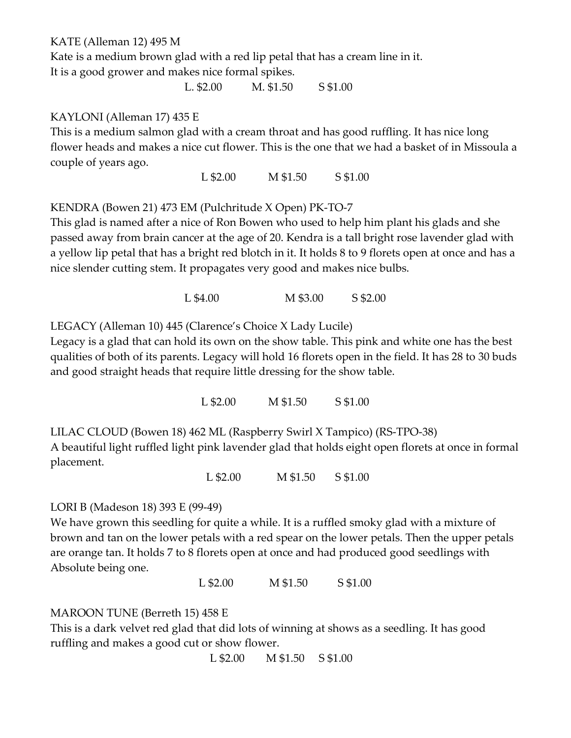KATE (Alleman 12) 495 M

Kate is a medium brown glad with a red lip petal that has a cream line in it. It is a good grower and makes nice formal spikes.

L. \$2.00 M. \$1.50 S \$1.00

#### KAYLONI (Alleman 17) 435 E

This is a medium salmon glad with a cream throat and has good ruffling. It has nice long flower heads and makes a nice cut flower. This is the one that we had a basket of in Missoula a couple of years ago.

L \$2.00 M \$1.50 S \$1.00

KENDRA (Bowen 21) 473 EM (Pulchritude X Open) PK-TO-7

This glad is named after a nice of Ron Bowen who used to help him plant his glads and she passed away from brain cancer at the age of 20. Kendra is a tall bright rose lavender glad with a yellow lip petal that has a bright red blotch in it. It holds 8 to 9 florets open at once and has a nice slender cutting stem. It propagates very good and makes nice bulbs.

L \$4.00 M \$3.00 S \$2.00

LEGACY (Alleman 10) 445 (Clarence's Choice X Lady Lucile)

Legacy is a glad that can hold its own on the show table. This pink and white one has the best qualities of both of its parents. Legacy will hold 16 florets open in the field. It has 28 to 30 buds and good straight heads that require little dressing for the show table.

L \$2.00 M \$1.50 S \$1.00

LILAC CLOUD (Bowen 18) 462 ML (Raspberry Swirl X Tampico) (RS-TPO-38) A beautiful light ruffled light pink lavender glad that holds eight open florets at once in formal placement.

L \$2.00 M \$1.50 S \$1.00

LORI B (Madeson 18) 393 E (99-49)

We have grown this seedling for quite a while. It is a ruffled smoky glad with a mixture of brown and tan on the lower petals with a red spear on the lower petals. Then the upper petals are orange tan. It holds 7 to 8 florets open at once and had produced good seedlings with Absolute being one.

L \$2.00 M \$1.50 S \$1.00

MAROON TUNE (Berreth 15) 458 E

This is a dark velvet red glad that did lots of winning at shows as a seedling. It has good ruffling and makes a good cut or show flower.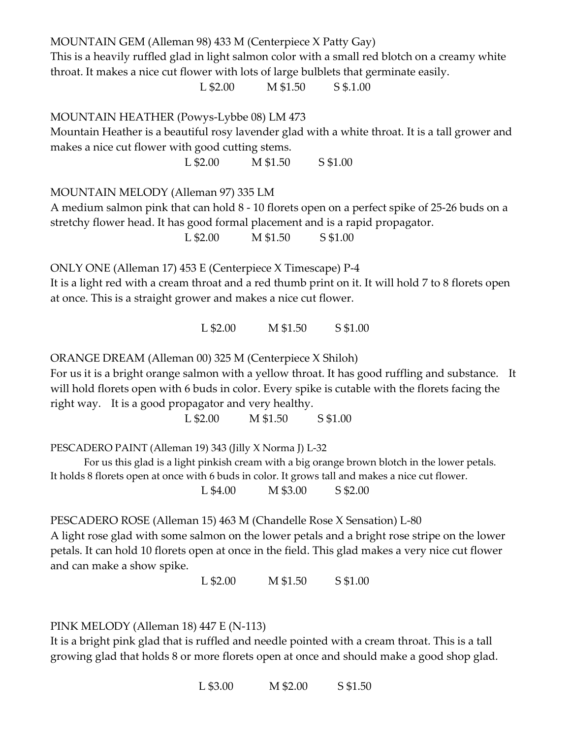MOUNTAIN GEM (Alleman 98) 433 M (Centerpiece X Patty Gay) This is a heavily ruffled glad in light salmon color with a small red blotch on a creamy white throat. It makes a nice cut flower with lots of large bulblets that germinate easily. L \$2.00 M \$1.50 S \$.1.00 MOUNTAIN HEATHER (Powys-Lybbe 08) LM 473 Mountain Heather is a beautiful rosy lavender glad with a white throat. It is a tall grower and makes a nice cut flower with good cutting stems. L \$2.00 M \$1.50 S \$1.00 MOUNTAIN MELODY (Alleman 97) 335 LM A medium salmon pink that can hold 8 - 10 florets open on a perfect spike of 25-26 buds on a stretchy flower head. It has good formal placement and is a rapid propagator. L \$2.00 M \$1.50 S \$1.00 ONLY ONE (Alleman 17) 453 E (Centerpiece X Timescape) P-4 It is a light red with a cream throat and a red thumb print on it. It will hold 7 to 8 florets open at once. This is a straight grower and makes a nice cut flower. L \$2.00 M \$1.50 S \$1.00 ORANGE DREAM (Alleman 00) 325 M (Centerpiece X Shiloh) For us it is a bright orange salmon with a yellow throat. It has good ruffling and substance. It will hold florets open with 6 buds in color. Every spike is cutable with the florets facing the right way. It is a good propagator and very healthy.

L \$2.00 M \$1.50 S \$1.00

PESCADERO PAINT (Alleman 19) 343 (Jilly X Norma J) L-32

 For us this glad is a light pinkish cream with a big orange brown blotch in the lower petals. It holds 8 florets open at once with 6 buds in color. It grows tall and makes a nice cut flower. L \$4.00 M \$3.00 S \$2.00

PESCADERO ROSE (Alleman 15) 463 M (Chandelle Rose X Sensation) L-80 A light rose glad with some salmon on the lower petals and a bright rose stripe on the lower petals. It can hold 10 florets open at once in the field. This glad makes a very nice cut flower and can make a show spike.

L \$2.00 M \$1.50 S \$1.00

PINK MELODY (Alleman 18) 447 E (N-113)

It is a bright pink glad that is ruffled and needle pointed with a cream throat. This is a tall growing glad that holds 8 or more florets open at once and should make a good shop glad.

L \$3.00 M \$2.00 S \$1.50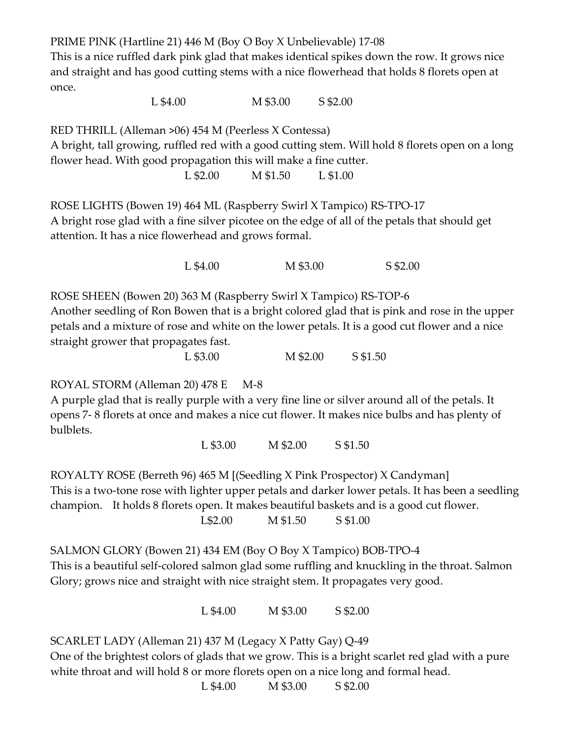PRIME PINK (Hartline 21) 446 M (Boy O Boy X Unbelievable) 17-08

This is a nice ruffled dark pink glad that makes identical spikes down the row. It grows nice and straight and has good cutting stems with a nice flowerhead that holds 8 florets open at once.

L \$4.00 M \$3.00 S \$2.00

RED THRILL (Alleman >06) 454 M (Peerless X Contessa)

A bright, tall growing, ruffled red with a good cutting stem. Will hold 8 florets open on a long flower head. With good propagation this will make a fine cutter.

L \$2.00 M \$1.50 L \$1.00

ROSE LIGHTS (Bowen 19) 464 ML (Raspberry Swirl X Tampico) RS-TPO-17 A bright rose glad with a fine silver picotee on the edge of all of the petals that should get attention. It has a nice flowerhead and grows formal.

L \$4.00 M \$3.00 S \$2.00

ROSE SHEEN (Bowen 20) 363 M (Raspberry Swirl X Tampico) RS-TOP-6 Another seedling of Ron Bowen that is a bright colored glad that is pink and rose in the upper petals and a mixture of rose and white on the lower petals. It is a good cut flower and a nice straight grower that propagates fast.

L \$3.00 M \$2.00 S \$1.50

ROYAL STORM (Alleman 20) 478 E M-8

A purple glad that is really purple with a very fine line or silver around all of the petals. It opens 7- 8 florets at once and makes a nice cut flower. It makes nice bulbs and has plenty of bulblets.

L \$3.00 M \$2.00 S \$1.50

ROYALTY ROSE (Berreth 96) 465 M [(Seedling X Pink Prospector) X Candyman] This is a two-tone rose with lighter upper petals and darker lower petals. It has been a seedling champion. It holds 8 florets open. It makes beautiful baskets and is a good cut flower. L\$2.00 M \$1.50 S \$1.00

SALMON GLORY (Bowen 21) 434 EM (Boy O Boy X Tampico) BOB-TPO-4 This is a beautiful self-colored salmon glad some ruffling and knuckling in the throat. Salmon Glory; grows nice and straight with nice straight stem. It propagates very good.

L \$4.00 M \$3.00 S \$2.00

SCARLET LADY (Alleman 21) 437 M (Legacy X Patty Gay) Q-49

One of the brightest colors of glads that we grow. This is a bright scarlet red glad with a pure white throat and will hold 8 or more florets open on a nice long and formal head.

L \$4.00 M \$3.00 S \$2.00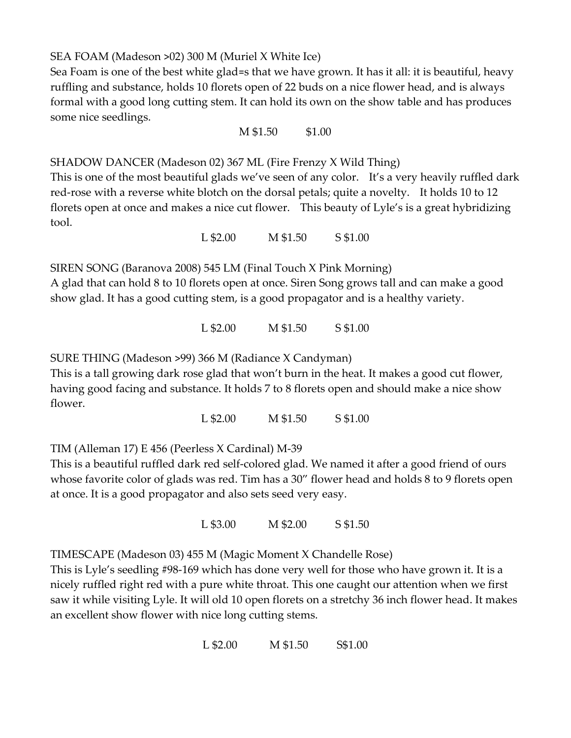SEA FOAM (Madeson >02) 300 M (Muriel X White Ice)

Sea Foam is one of the best white glad=s that we have grown. It has it all: it is beautiful, heavy ruffling and substance, holds 10 florets open of 22 buds on a nice flower head, and is always formal with a good long cutting stem. It can hold its own on the show table and has produces some nice seedlings.

M \$1.50 \$1.00

SHADOW DANCER (Madeson 02) 367 ML (Fire Frenzy X Wild Thing)

This is one of the most beautiful glads we've seen of any color. It's a very heavily ruffled dark red-rose with a reverse white blotch on the dorsal petals; quite a novelty. It holds 10 to 12 florets open at once and makes a nice cut flower. This beauty of Lyle's is a great hybridizing tool.

L \$2.00 M \$1.50 S \$1.00

SIREN SONG (Baranova 2008) 545 LM (Final Touch X Pink Morning)

A glad that can hold 8 to 10 florets open at once. Siren Song grows tall and can make a good show glad. It has a good cutting stem, is a good propagator and is a healthy variety.

L \$2.00 M \$1.50 S \$1.00

SURE THING (Madeson >99) 366 M (Radiance X Candyman)

This is a tall growing dark rose glad that won't burn in the heat. It makes a good cut flower, having good facing and substance. It holds 7 to 8 florets open and should make a nice show flower.

L \$2.00 M \$1.50 S \$1.00

TIM (Alleman 17) E 456 (Peerless X Cardinal) M-39

This is a beautiful ruffled dark red self-colored glad. We named it after a good friend of ours whose favorite color of glads was red. Tim has a 30" flower head and holds 8 to 9 florets open at once. It is a good propagator and also sets seed very easy.

L \$3.00 M \$2.00 S \$1.50

TIMESCAPE (Madeson 03) 455 M (Magic Moment X Chandelle Rose)

This is Lyle's seedling #98-169 which has done very well for those who have grown it. It is a nicely ruffled right red with a pure white throat. This one caught our attention when we first saw it while visiting Lyle. It will old 10 open florets on a stretchy 36 inch flower head. It makes an excellent show flower with nice long cutting stems.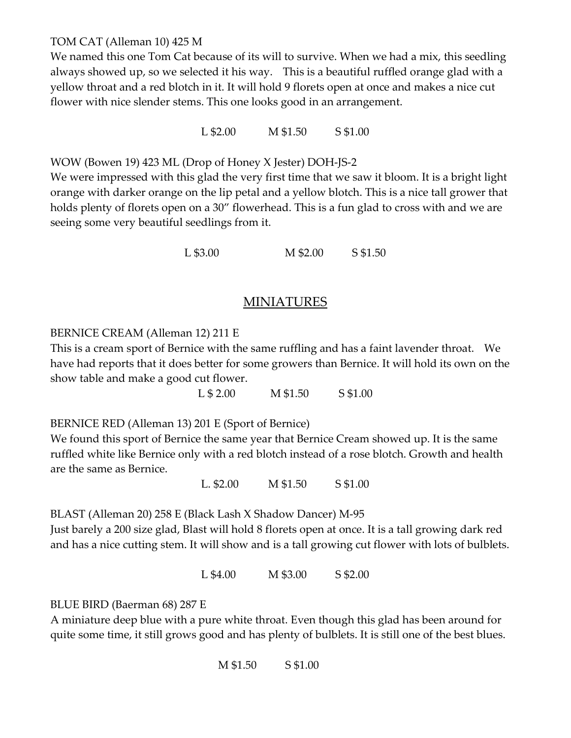TOM CAT (Alleman 10) 425 M

We named this one Tom Cat because of its will to survive. When we had a mix, this seedling always showed up, so we selected it his way. This is a beautiful ruffled orange glad with a yellow throat and a red blotch in it. It will hold 9 florets open at once and makes a nice cut flower with nice slender stems. This one looks good in an arrangement.

L \$2.00 M \$1.50 S \$1.00

WOW (Bowen 19) 423 ML (Drop of Honey X Jester) DOH-JS-2

We were impressed with this glad the very first time that we saw it bloom. It is a bright light orange with darker orange on the lip petal and a yellow blotch. This is a nice tall grower that holds plenty of florets open on a 30" flowerhead. This is a fun glad to cross with and we are seeing some very beautiful seedlings from it.

L \$3.00 M \$2.00 S \$1.50

## MINIATURES

### BERNICE CREAM (Alleman 12) 211 E

This is a cream sport of Bernice with the same ruffling and has a faint lavender throat. We have had reports that it does better for some growers than Bernice. It will hold its own on the show table and make a good cut flower.

L \$ 2.00 M \$1.50 S \$1.00

BERNICE RED (Alleman 13) 201 E (Sport of Bernice)

We found this sport of Bernice the same year that Bernice Cream showed up. It is the same ruffled white like Bernice only with a red blotch instead of a rose blotch. Growth and health are the same as Bernice.

L. \$2.00 M \$1.50 S \$1.00

BLAST (Alleman 20) 258 E (Black Lash X Shadow Dancer) M-95

Just barely a 200 size glad, Blast will hold 8 florets open at once. It is a tall growing dark red and has a nice cutting stem. It will show and is a tall growing cut flower with lots of bulblets.

L \$4.00 M \$3.00 S \$2.00

BLUE BIRD (Baerman 68) 287 E

A miniature deep blue with a pure white throat. Even though this glad has been around for quite some time, it still grows good and has plenty of bulblets. It is still one of the best blues.

M \$1.50 S \$1.00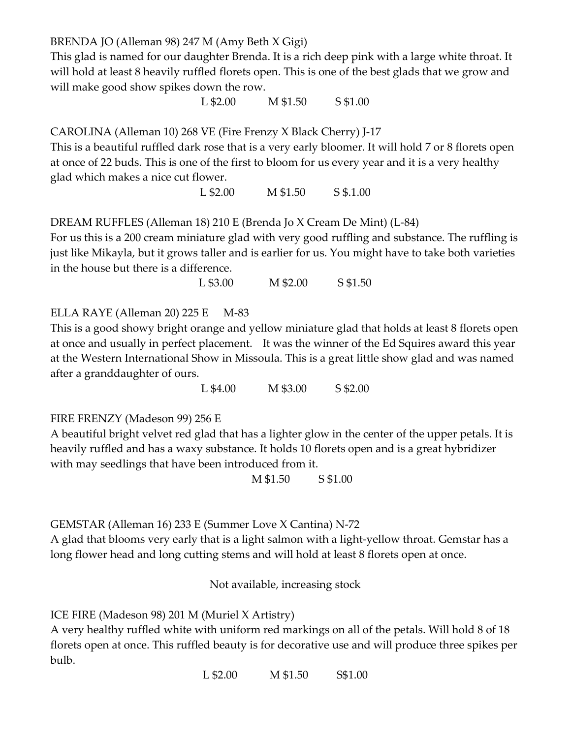BRENDA JO (Alleman 98) 247 M (Amy Beth X Gigi)

This glad is named for our daughter Brenda. It is a rich deep pink with a large white throat. It will hold at least 8 heavily ruffled florets open. This is one of the best glads that we grow and will make good show spikes down the row.

L \$2.00 M \$1.50 S \$1.00

CAROLINA (Alleman 10) 268 VE (Fire Frenzy X Black Cherry) J-17

This is a beautiful ruffled dark rose that is a very early bloomer. It will hold 7 or 8 florets open at once of 22 buds. This is one of the first to bloom for us every year and it is a very healthy glad which makes a nice cut flower.

L \$2.00 M \$1.50 S \$.1.00

DREAM RUFFLES (Alleman 18) 210 E (Brenda Jo X Cream De Mint) (L-84)

For us this is a 200 cream miniature glad with very good ruffling and substance. The ruffling is just like Mikayla, but it grows taller and is earlier for us. You might have to take both varieties in the house but there is a difference.

L \$3.00 M \$2.00 S \$1.50

ELLA RAYE (Alleman 20) 225 E M-83

This is a good showy bright orange and yellow miniature glad that holds at least 8 florets open at once and usually in perfect placement. It was the winner of the Ed Squires award this year at the Western International Show in Missoula. This is a great little show glad and was named after a granddaughter of ours.

L \$4.00 M \$3.00 S \$2.00

FIRE FRENZY (Madeson 99) 256 E

A beautiful bright velvet red glad that has a lighter glow in the center of the upper petals. It is heavily ruffled and has a waxy substance. It holds 10 florets open and is a great hybridizer with may seedlings that have been introduced from it.

M \$1.50 S \$1.00

GEMSTAR (Alleman 16) 233 E (Summer Love X Cantina) N-72

A glad that blooms very early that is a light salmon with a light-yellow throat. Gemstar has a long flower head and long cutting stems and will hold at least 8 florets open at once.

Not available, increasing stock

ICE FIRE (Madeson 98) 201 M (Muriel X Artistry)

A very healthy ruffled white with uniform red markings on all of the petals. Will hold 8 of 18 florets open at once. This ruffled beauty is for decorative use and will produce three spikes per bulb.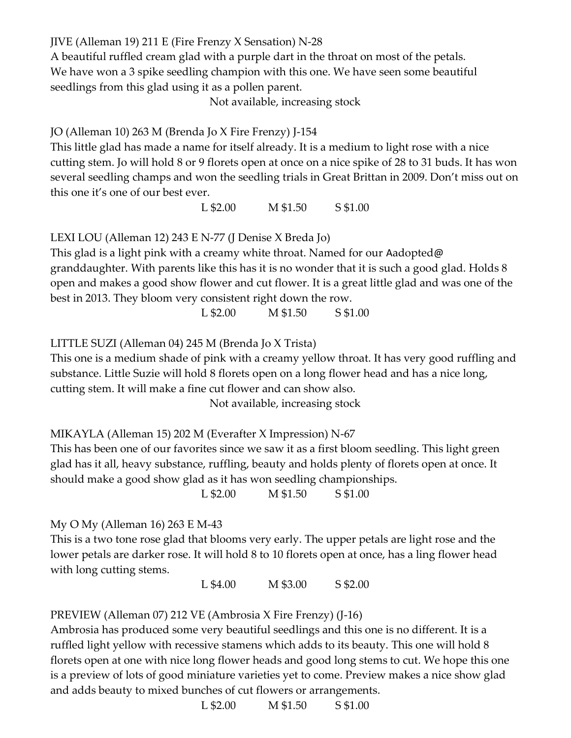JIVE (Alleman 19) 211 E (Fire Frenzy X Sensation) N-28

A beautiful ruffled cream glad with a purple dart in the throat on most of the petals. We have won a 3 spike seedling champion with this one. We have seen some beautiful seedlings from this glad using it as a pollen parent.

Not available, increasing stock

JO (Alleman 10) 263 M (Brenda Jo X Fire Frenzy) J-154

This little glad has made a name for itself already. It is a medium to light rose with a nice cutting stem. Jo will hold 8 or 9 florets open at once on a nice spike of 28 to 31 buds. It has won several seedling champs and won the seedling trials in Great Brittan in 2009. Don't miss out on this one it's one of our best ever.

L \$2.00 M \$1.50 S \$1.00

LEXI LOU (Alleman 12) 243 E N-77 (J Denise X Breda Jo)

This glad is a light pink with a creamy white throat. Named for our Aadopted@ granddaughter. With parents like this has it is no wonder that it is such a good glad. Holds 8 open and makes a good show flower and cut flower. It is a great little glad and was one of the best in 2013. They bloom very consistent right down the row.

L \$2.00 M \$1.50 S \$1.00

LITTLE SUZI (Alleman 04) 245 M (Brenda Jo X Trista)

This one is a medium shade of pink with a creamy yellow throat. It has very good ruffling and substance. Little Suzie will hold 8 florets open on a long flower head and has a nice long, cutting stem. It will make a fine cut flower and can show also.

Not available, increasing stock

MIKAYLA (Alleman 15) 202 M (Everafter X Impression) N-67

This has been one of our favorites since we saw it as a first bloom seedling. This light green glad has it all, heavy substance, ruffling, beauty and holds plenty of florets open at once. It should make a good show glad as it has won seedling championships.

L \$2.00 M \$1.50 S \$1.00

### My O My (Alleman 16) 263 E M-43

This is a two tone rose glad that blooms very early. The upper petals are light rose and the lower petals are darker rose. It will hold 8 to 10 florets open at once, has a ling flower head with long cutting stems.

L \$4.00 M \$3.00 S \$2.00

## PREVIEW (Alleman 07) 212 VE (Ambrosia X Fire Frenzy) (J-16)

Ambrosia has produced some very beautiful seedlings and this one is no different. It is a ruffled light yellow with recessive stamens which adds to its beauty. This one will hold 8 florets open at one with nice long flower heads and good long stems to cut. We hope this one is a preview of lots of good miniature varieties yet to come. Preview makes a nice show glad and adds beauty to mixed bunches of cut flowers or arrangements.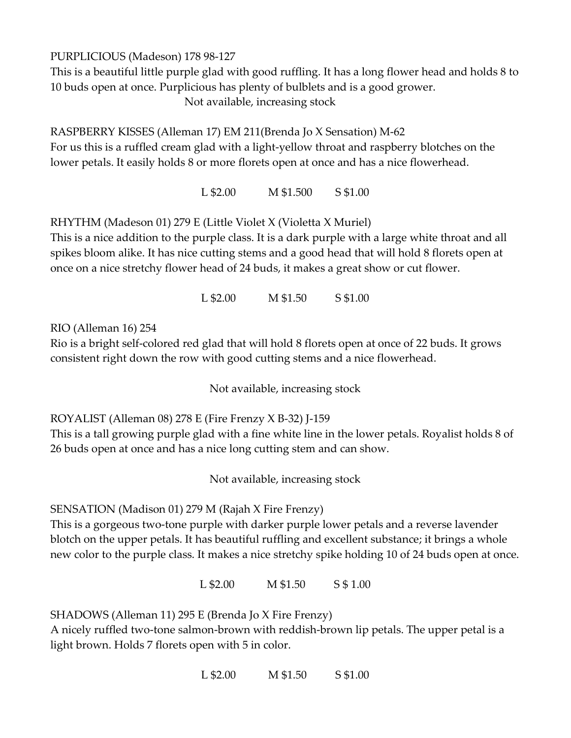PURPLICIOUS (Madeson) 178 98-127

This is a beautiful little purple glad with good ruffling. It has a long flower head and holds 8 to 10 buds open at once. Purplicious has plenty of bulblets and is a good grower. Not available, increasing stock

RASPBERRY KISSES (Alleman 17) EM 211(Brenda Jo X Sensation) M-62 For us this is a ruffled cream glad with a light-yellow throat and raspberry blotches on the lower petals. It easily holds 8 or more florets open at once and has a nice flowerhead.

L \$2.00 M \$1.500 S \$1.00

RHYTHM (Madeson 01) 279 E (Little Violet X (Violetta X Muriel)

This is a nice addition to the purple class. It is a dark purple with a large white throat and all spikes bloom alike. It has nice cutting stems and a good head that will hold 8 florets open at once on a nice stretchy flower head of 24 buds, it makes a great show or cut flower.

L \$2.00 M \$1.50 S \$1.00

RIO (Alleman 16) 254

Rio is a bright self-colored red glad that will hold 8 florets open at once of 22 buds. It grows consistent right down the row with good cutting stems and a nice flowerhead.

Not available, increasing stock

ROYALIST (Alleman 08) 278 E (Fire Frenzy X B-32) J-159

This is a tall growing purple glad with a fine white line in the lower petals. Royalist holds 8 of 26 buds open at once and has a nice long cutting stem and can show.

Not available, increasing stock

SENSATION (Madison 01) 279 M (Rajah X Fire Frenzy)

This is a gorgeous two-tone purple with darker purple lower petals and a reverse lavender blotch on the upper petals. It has beautiful ruffling and excellent substance; it brings a whole new color to the purple class. It makes a nice stretchy spike holding 10 of 24 buds open at once.

L \$2.00 M \$1.50 S \$ 1.00

SHADOWS (Alleman 11) 295 E (Brenda Jo X Fire Frenzy)

A nicely ruffled two-tone salmon-brown with reddish-brown lip petals. The upper petal is a light brown. Holds 7 florets open with 5 in color.